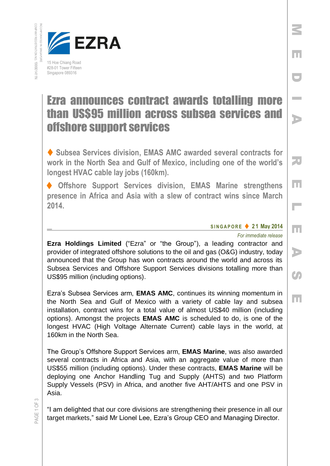

## Ezra announces contract awards totalling more than US\$95 million across subsea services and offshore support services

◆ Subsea Services division, EMAS AMC awarded several contracts for **work in the North Sea and Gulf of Mexico, including one of the world's longest HVAC cable lay jobs (160km).**

 **Offshore Support Services division, EMAS Marine strengthens presence in Africa and Asia with a slew of contract wins since March 2014.**

## **S I N G A P O R E 2 1 May 2014**

*For immediate release*

M

E

D

I

A

R

E

L

E

A

Co

E

**Ezra Holdings Limited** ("Ezra" or "the Group"), a leading contractor and provider of integrated offshore solutions to the oil and gas (O&G) industry, today announced that the Group has won contracts around the world and across its Subsea Services and Offshore Support Services divisions totalling more than US\$95 million (including options).

Ezra's Subsea Services arm, **EMAS AMC**, continues its winning momentum in the North Sea and Gulf of Mexico with a variety of cable lay and subsea installation, contract wins for a total value of almost US\$40 million (including options). Amongst the projects **EMAS AMC** is scheduled to do, is one of the longest HVAC (High Voltage Alternate Current) cable lays in the world, at 160km in the North Sea.

The Group's Offshore Support Services arm, **EMAS Marine**, was also awarded several contracts in Africa and Asia, with an aggregate value of more than US\$55 million (including options). Under these contracts, **EMAS Marine** will be deploying one Anchor Handling Tug and Supply (AHTS) and two Platform Supply Vessels (PSV) in Africa, and another five AHT/AHTS and one PSV in Asia.

"I am delighted that our core divisions are strengthening their presence in all our target markets," said Mr Lionel Lee, Ezra's Group CEO and Managing Director.

PAGE 1 OF 3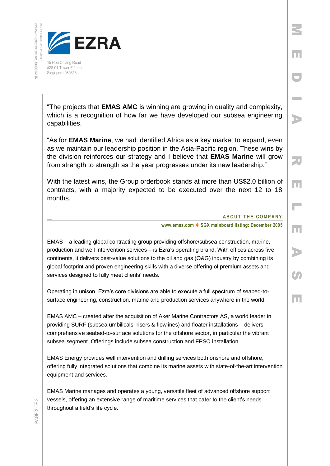

"The projects that **EMAS AMC** is winning are growing in quality and complexity, which is a recognition of how far we have developed our subsea engineering capabilities.

"As for **EMAS Marine**, we had identified Africa as a key market to expand, even as we maintain our leadership position in the Asia-Pacific region. These wins by the division reinforces our strategy and I believe that **EMAS Marine** will grow from strength to strength as the year progresses under its new leadership."

With the latest wins, the Group orderbook stands at more than US\$2.0 billion of contracts, with a majority expected to be executed over the next 12 to 18 months.

## **ABOUT THE COMPANY**

M

E

D

I

A

R

E

 $\overline{\phantom{a}}$ 

E

A

**CA** 

E

**www.emas.com ♦ SGX mainboard listing: December 2005** 

EMAS – a leading global contracting group providing offshore/subsea construction, marine, production and well intervention services – is Ezra's operating brand. With offices across five continents, it delivers best-value solutions to the oil and gas (O&G) industry by combining its global footprint and proven engineering skills with a diverse offering of premium assets and services designed to fully meet clients' needs.

Operating in unison, Ezra's core divisions are able to execute a full spectrum of seabed-tosurface engineering, construction, marine and production services anywhere in the world.

EMAS AMC – created after the acquisition of Aker Marine Contractors AS, a world leader in providing SURF (subsea umbilicals, risers & flowlines) and floater installations – delivers comprehensive seabed-to-surface solutions for the offshore sector, in particular the vibrant subsea segment. Offerings include subsea construction and FPSO installation.

EMAS Energy provides well intervention and drilling services both onshore and offshore, offering fully integrated solutions that combine its marine assets with state-of-the-art intervention equipment and services.

EMAS Marine manages and operates a young, versatile fleet of advanced offshore support vessels, offering an extensive range of maritime services that cater to the client's needs throughout a field's life cycle.